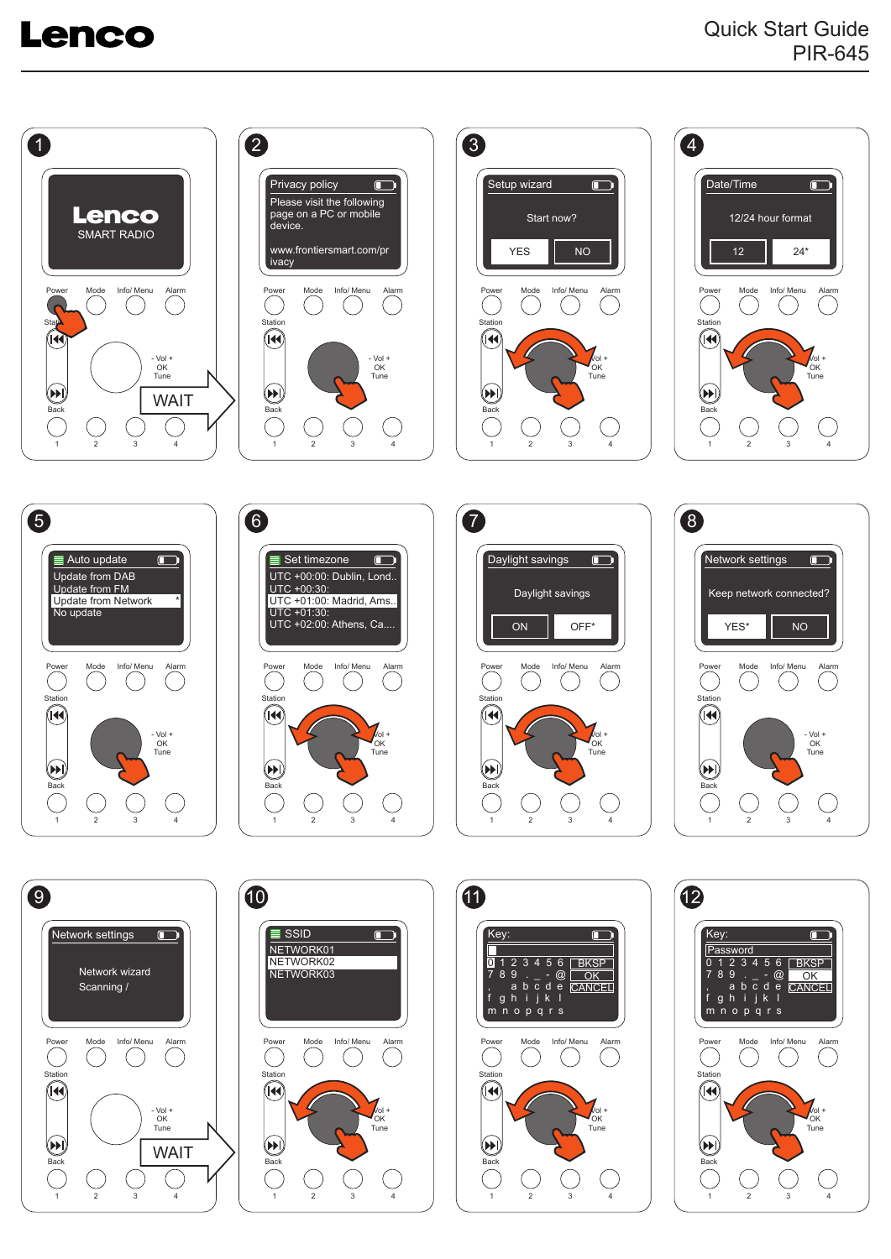## **Lenco**